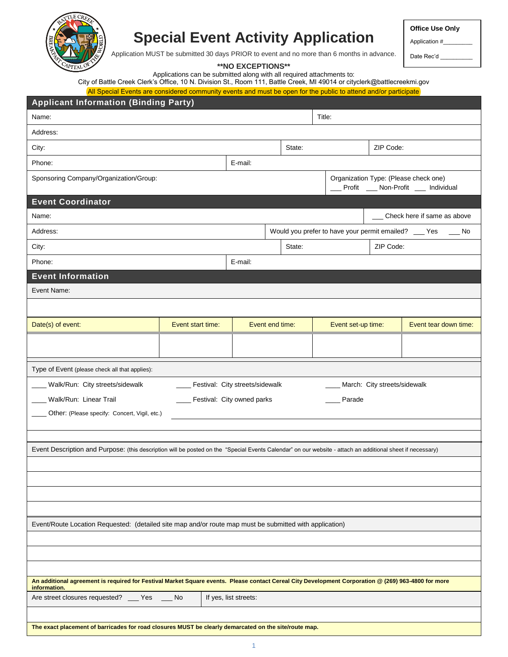

# **Special Event Activity Application**

**Office Use Only**

Application #\_\_\_\_\_\_\_\_\_

Date Rec'd

Application MUST be submitted 30 days PRIOR to event and no more than 6 months in advance.

**\*\*NO EXCEPTIONS\*\***

Applications can be submitted along with all required attachments to:

City of Battle Creek Clerk's Office, 10 N. Division St., Room 111, Battle Creek, MI 49014 or cityclerk@battlecreekmi.gov All Special Events are considered community events and must be open for the public to attend and/or participate

| <b>Applicant Information (Binding Party)</b>                                                                                                                        |                   |                                   |                 |        |  |                    |                              |                                                                                |
|---------------------------------------------------------------------------------------------------------------------------------------------------------------------|-------------------|-----------------------------------|-----------------|--------|--|--------------------|------------------------------|--------------------------------------------------------------------------------|
| Name:                                                                                                                                                               |                   |                                   |                 | Title: |  |                    |                              |                                                                                |
| Address:                                                                                                                                                            |                   |                                   |                 |        |  |                    |                              |                                                                                |
| City:                                                                                                                                                               |                   |                                   |                 | State: |  |                    | ZIP Code:                    |                                                                                |
| Phone:                                                                                                                                                              |                   | E-mail:                           |                 |        |  |                    |                              |                                                                                |
| Sponsoring Company/Organization/Group:                                                                                                                              |                   |                                   |                 |        |  |                    |                              | Organization Type: (Please check one)<br>__ Profit __ Non-Profit __ Individual |
| <b>Event Coordinator</b>                                                                                                                                            |                   |                                   |                 |        |  |                    |                              |                                                                                |
| Name:                                                                                                                                                               |                   |                                   |                 |        |  |                    |                              | Check here if same as above                                                    |
| Address:                                                                                                                                                            |                   |                                   |                 |        |  |                    |                              | Would you prefer to have your permit emailed? ___ Yes __ No                    |
| City:                                                                                                                                                               |                   |                                   |                 | State: |  |                    | ZIP Code:                    |                                                                                |
| Phone:                                                                                                                                                              |                   | E-mail:                           |                 |        |  |                    |                              |                                                                                |
| <b>Event Information</b>                                                                                                                                            |                   |                                   |                 |        |  |                    |                              |                                                                                |
| Event Name:                                                                                                                                                         |                   |                                   |                 |        |  |                    |                              |                                                                                |
|                                                                                                                                                                     |                   |                                   |                 |        |  |                    |                              |                                                                                |
| Date(s) of event:                                                                                                                                                   | Event start time: |                                   | Event end time: |        |  | Event set-up time: |                              | Event tear down time:                                                          |
|                                                                                                                                                                     |                   |                                   |                 |        |  |                    |                              |                                                                                |
|                                                                                                                                                                     |                   |                                   |                 |        |  |                    |                              |                                                                                |
| Type of Event (please check all that applies):                                                                                                                      |                   |                                   |                 |        |  |                    |                              |                                                                                |
| _ Walk/Run: City streets/sidewalk                                                                                                                                   |                   | _ Festival: City streets/sidewalk |                 |        |  |                    | March: City streets/sidewalk |                                                                                |
| Walk/Run: Linear Trail                                                                                                                                              |                   | Festival: City owned parks        |                 |        |  | Parade             |                              |                                                                                |
| Other: (Please specify: Concert, Vigil, etc.)                                                                                                                       |                   |                                   |                 |        |  |                    |                              |                                                                                |
|                                                                                                                                                                     |                   |                                   |                 |        |  |                    |                              |                                                                                |
| Event Description and Purpose: (this description will be posted on the "Special Events Calendar" on our website - attach an additional sheet if necessary)          |                   |                                   |                 |        |  |                    |                              |                                                                                |
|                                                                                                                                                                     |                   |                                   |                 |        |  |                    |                              |                                                                                |
|                                                                                                                                                                     |                   |                                   |                 |        |  |                    |                              |                                                                                |
|                                                                                                                                                                     |                   |                                   |                 |        |  |                    |                              |                                                                                |
|                                                                                                                                                                     |                   |                                   |                 |        |  |                    |                              |                                                                                |
| Event/Route Location Requested: (detailed site map and/or route map must be submitted with application)                                                             |                   |                                   |                 |        |  |                    |                              |                                                                                |
|                                                                                                                                                                     |                   |                                   |                 |        |  |                    |                              |                                                                                |
|                                                                                                                                                                     |                   |                                   |                 |        |  |                    |                              |                                                                                |
|                                                                                                                                                                     |                   |                                   |                 |        |  |                    |                              |                                                                                |
| An additional agreement is required for Festival Market Square events. Please contact Cereal City Development Corporation @ (269) 963-4800 for more<br>information. |                   |                                   |                 |        |  |                    |                              |                                                                                |
| Are street closures requested? __ Yes __ No                                                                                                                         |                   | If yes, list streets:             |                 |        |  |                    |                              |                                                                                |
|                                                                                                                                                                     |                   |                                   |                 |        |  |                    |                              |                                                                                |
| The exact placement of barricades for road closures MUST be clearly demarcated on the site/route map.                                                               |                   |                                   |                 |        |  |                    |                              |                                                                                |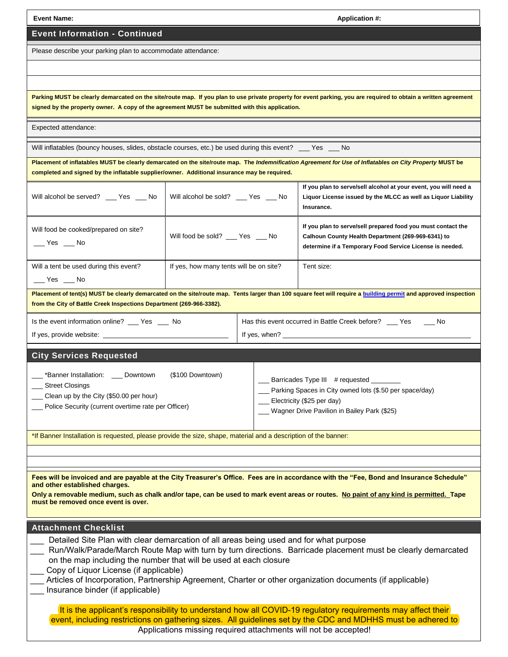| <b>Event Name:</b>                                                                                                                                                                                                                                                                                                                                                                                                                                                     | <b>Application #:</b>                   |  |                                                                                                                                                                                |  |  |
|------------------------------------------------------------------------------------------------------------------------------------------------------------------------------------------------------------------------------------------------------------------------------------------------------------------------------------------------------------------------------------------------------------------------------------------------------------------------|-----------------------------------------|--|--------------------------------------------------------------------------------------------------------------------------------------------------------------------------------|--|--|
| <b>Event Information - Continued</b>                                                                                                                                                                                                                                                                                                                                                                                                                                   |                                         |  |                                                                                                                                                                                |  |  |
| Please describe your parking plan to accommodate attendance:                                                                                                                                                                                                                                                                                                                                                                                                           |                                         |  |                                                                                                                                                                                |  |  |
|                                                                                                                                                                                                                                                                                                                                                                                                                                                                        |                                         |  |                                                                                                                                                                                |  |  |
|                                                                                                                                                                                                                                                                                                                                                                                                                                                                        |                                         |  |                                                                                                                                                                                |  |  |
| Parking MUST be clearly demarcated on the site/route map. If you plan to use private property for event parking, you are required to obtain a written agreement<br>signed by the property owner. A copy of the agreement MUST be submitted with this application.                                                                                                                                                                                                      |                                         |  |                                                                                                                                                                                |  |  |
| Expected attendance:                                                                                                                                                                                                                                                                                                                                                                                                                                                   |                                         |  |                                                                                                                                                                                |  |  |
| Will inflatables (bouncy houses, slides, obstacle courses, etc.) be used during this event? ___ Yes ___ No                                                                                                                                                                                                                                                                                                                                                             |                                         |  |                                                                                                                                                                                |  |  |
| completed and signed by the inflatable supplier/owner. Additional insurance may be required.                                                                                                                                                                                                                                                                                                                                                                           |                                         |  | Placement of inflatables MUST be clearly demarcated on the site/route map. The Indemnification Agreement for Use of Inflatables on City Property MUST be                       |  |  |
| Will alcohol be served? __ Yes __ No                                                                                                                                                                                                                                                                                                                                                                                                                                   | Will alcohol be sold? __ Yes __ No      |  | If you plan to serve/sell alcohol at your event, you will need a<br>Liquor License issued by the MLCC as well as Liquor Liability<br>Insurance.                                |  |  |
| Will food be cooked/prepared on site?<br>$\sqrt{Y}$ es $\sqrt{Y}$ No                                                                                                                                                                                                                                                                                                                                                                                                   | Will food be sold? ___ Yes ___ No       |  | If you plan to serve/sell prepared food you must contact the<br>Calhoun County Health Department (269-969-6341) to<br>determine if a Temporary Food Service License is needed. |  |  |
| Will a tent be used during this event?<br>$\rule{1em}{0.15mm}$ Yes $\rule{1em}{0.15mm}$ No                                                                                                                                                                                                                                                                                                                                                                             | If yes, how many tents will be on site? |  | Tent size:                                                                                                                                                                     |  |  |
| from the City of Battle Creek Inspections Department (269-966-3382).                                                                                                                                                                                                                                                                                                                                                                                                   |                                         |  | Placement of tent(s) MUST be clearly demarcated on the site/route map. Tents larger than 100 square feet will require a building permit and approved inspection                |  |  |
| Is the event information online? __ Yes __ No                                                                                                                                                                                                                                                                                                                                                                                                                          |                                         |  | Has this event occurred in Battle Creek before? __ Yes<br>– No                                                                                                                 |  |  |
|                                                                                                                                                                                                                                                                                                                                                                                                                                                                        |                                         |  |                                                                                                                                                                                |  |  |
| <b>City Services Requested</b>                                                                                                                                                                                                                                                                                                                                                                                                                                         |                                         |  |                                                                                                                                                                                |  |  |
| _*Banner Installation: ___ Downtown<br>_Street Closings<br>Clean up by the City (\$50.00 per hour)<br>Police Security (current overtime rate per Officer)                                                                                                                                                                                                                                                                                                              | (\$100 Downtown)                        |  | Barricades Type III # requested<br>Parking Spaces in City owned lots (\$.50 per space/day)<br>Electricity (\$25 per day)<br>Wagner Drive Pavilion in Bailey Park (\$25)        |  |  |
| *If Banner Installation is requested, please provide the size, shape, material and a description of the banner:                                                                                                                                                                                                                                                                                                                                                        |                                         |  |                                                                                                                                                                                |  |  |
|                                                                                                                                                                                                                                                                                                                                                                                                                                                                        |                                         |  |                                                                                                                                                                                |  |  |
| Fees will be invoiced and are payable at the City Treasurer's Office. Fees are in accordance with the "Fee, Bond and Insurance Schedule"<br>and other established charges.<br>Only a removable medium, such as chalk and/or tape, can be used to mark event areas or routes. No paint of any kind is permitted. Tape<br>must be removed once event is over.                                                                                                            |                                         |  |                                                                                                                                                                                |  |  |
| <b>Attachment Checklist</b>                                                                                                                                                                                                                                                                                                                                                                                                                                            |                                         |  |                                                                                                                                                                                |  |  |
| Detailed Site Plan with clear demarcation of all areas being used and for what purpose<br>Run/Walk/Parade/March Route Map with turn by turn directions. Barricade placement must be clearly demarcated<br>on the map including the number that will be used at each closure<br>Copy of Liquor License (if applicable)<br>Articles of Incorporation, Partnership Agreement, Charter or other organization documents (if applicable)<br>Insurance binder (if applicable) |                                         |  |                                                                                                                                                                                |  |  |
| It is the applicant's responsibility to understand how all COVID-19 regulatory requirements may affect their<br>event, including restrictions on gathering sizes. All guidelines set by the CDC and MDHHS must be adhered to<br>Applications missing required attachments will not be accepted!                                                                                                                                                                        |                                         |  |                                                                                                                                                                                |  |  |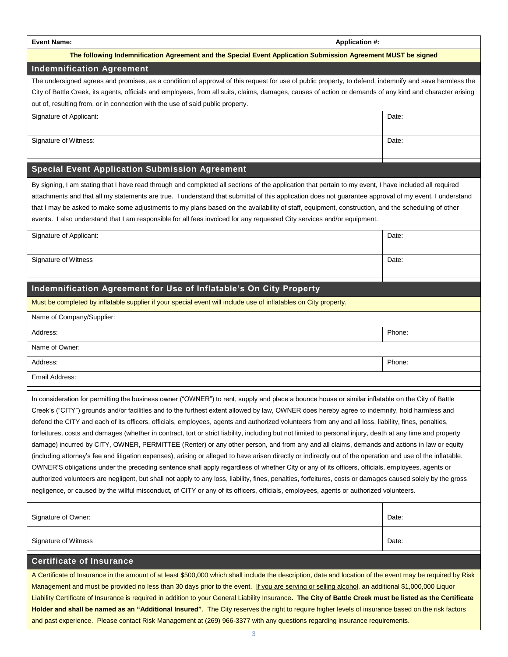#### **Event Name: Application #:**

#### **The following Indemnification Agreement and the Special Event Application Submission Agreement MUST be signed**

### **Indemnification Agreement**

The undersigned agrees and promises, as a condition of approval of this request for use of public property, to defend, indemnify and save harmless the City of Battle Creek, its agents, officials and employees, from all suits, claims, damages, causes of action or demands of any kind and character arising out of, resulting from, or in connection with the use of said public property.

| Date: |
|-------|
|       |

Signature of Witness: Date: Date: Date: Date: Date: Date: Date: Date: Date: Date: Date: Date: Date: Date: Date: Date: Date: Date: Date: Date: Date: Date: Date: Date: Date: Date: Date: Date: Date: Date: Date: Date: Date: Da

### **Special Event Application Submission Agreement**

By signing, I am stating that I have read through and completed all sections of the application that pertain to my event, I have included all required attachments and that all my statements are true. I understand that submittal of this application does not guarantee approval of my event. I understand that I may be asked to make some adjustments to my plans based on the availability of staff, equipment, construction, and the scheduling of other events. I also understand that I am responsible for all fees invoiced for any requested City services and/or equipment.

| Signature of Applicant: | Date: |
|-------------------------|-------|
|                         |       |
| Signature of Witness    | Date: |
|                         |       |

## **Indemnification Agreement for Use of Inflatable's On City Property**

Must be completed by inflatable supplier if your special event will include use of inflatables on City property.

| Name of Company/Supplier: |        |
|---------------------------|--------|
| Address:                  | Phone: |

Name of Owner:

Address: Phone: Phone: Phone: Phone: Phone: Phone: Phone: Phone: Phone: Phone: Phone: Phone: Phone: Phone: Phone: Phone: Phone: Phone: Phone: Phone: Phone: Phone: Phone: Phone: Phone: Phone: Phone: Phone: Phone: Phone: Pho

Email Address:

In consideration for permitting the business owner ("OWNER") to rent, supply and place a bounce house or similar inflatable on the City of Battle Creek's ("CITY") grounds and/or facilities and to the furthest extent allowed by law, OWNER does hereby agree to indemnify, hold harmless and defend the CITY and each of its officers, officials, employees, agents and authorized volunteers from any and all loss, liability, fines, penalties, forfeitures, costs and damages (whether in contract, tort or strict liability, including but not limited to personal injury, death at any time and property damage) incurred by CITY, OWNER, PERMITTEE (Renter) or any other person, and from any and all claims, demands and actions in law or equity (including attorney's fee and litigation expenses), arising or alleged to have arisen directly or indirectly out of the operation and use of the inflatable. OWNER'S obligations under the preceding sentence shall apply regardless of whether City or any of its officers, officials, employees, agents or authorized volunteers are negligent, but shall not apply to any loss, liability, fines, penalties, forfeitures, costs or damages caused solely by the gross negligence, or caused by the willful misconduct, of CITY or any of its officers, officials, employees, agents or authorized volunteers.

| Signature of Owner:  | Date: |
|----------------------|-------|
| Signature of Witness | Date: |

#### **Certificate of Insurance**

A Certificate of Insurance in the amount of at least \$500,000 which shall include the description, date and location of the event may be required by Risk Management and must be provided no less than 30 days prior to the event. If you are serving or selling alcohol, an additional \$1,000,000 Liquor Liability Certificate of Insurance is required in addition to your General Liability Insurance**. The City of Battle Creek must be listed as the Certificate Holder and shall be named as an "Additional Insured"**. The City reserves the right to require higher levels of insurance based on the risk factors and past experience. Please contact Risk Management at (269) 966-3377 with any questions regarding insurance requirements.